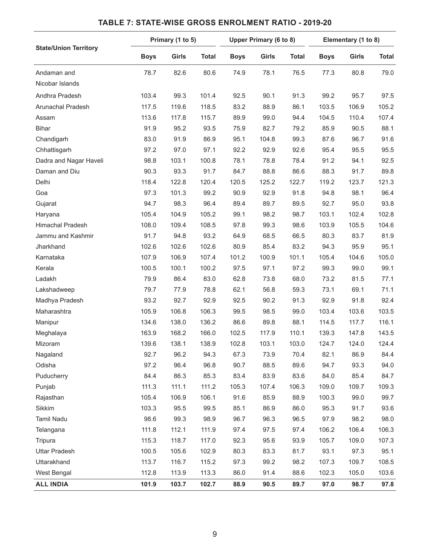| <b>State/Union Territory</b> | Primary (1 to 5) |       |              | Upper Primary (6 to 8) |              |              | Elementary (1 to 8) |              |              |
|------------------------------|------------------|-------|--------------|------------------------|--------------|--------------|---------------------|--------------|--------------|
|                              | <b>Boys</b>      | Girls | <b>Total</b> | <b>Boys</b>            | <b>Girls</b> | <b>Total</b> | <b>Boys</b>         | <b>Girls</b> | <b>Total</b> |
| Andaman and                  | 78.7             | 82.6  | 80.6         | 74.9                   | 78.1         | 76.5         | 77.3                | 80.8         | 79.0         |
| Nicobar Islands              |                  |       |              |                        |              |              |                     |              |              |
| Andhra Pradesh               | 103.4            | 99.3  | 101.4        | 92.5                   | 90.1         | 91.3         | 99.2                | 95.7         | 97.5         |
| Arunachal Pradesh            | 117.5            | 119.6 | 118.5        | 83.2                   | 88.9         | 86.1         | 103.5               | 106.9        | 105.2        |
| Assam                        | 113.6            | 117.8 | 115.7        | 89.9                   | 99.0         | 94.4         | 104.5               | 110.4        | 107.4        |
| <b>Bihar</b>                 | 91.9             | 95.2  | 93.5         | 75.9                   | 82.7         | 79.2         | 85.9                | 90.5         | 88.1         |
| Chandigarh                   | 83.0             | 91.9  | 86.9         | 95.1                   | 104.8        | 99.3         | 87.6                | 96.7         | 91.6         |
| Chhattisgarh                 | 97.2             | 97.0  | 97.1         | 92.2                   | 92.9         | 92.6         | 95.4                | 95.5         | 95.5         |
| Dadra and Nagar Haveli       | 98.8             | 103.1 | 100.8        | 78.1                   | 78.8         | 78.4         | 91.2                | 94.1         | 92.5         |
| Daman and Diu                | 90.3             | 93.3  | 91.7         | 84.7                   | 88.8         | 86.6         | 88.3                | 91.7         | 89.8         |
| Delhi                        | 118.4            | 122.8 | 120.4        | 120.5                  | 125.2        | 122.7        | 119.2               | 123.7        | 121.3        |
| Goa                          | 97.3             | 101.3 | 99.2         | 90.9                   | 92.9         | 91.8         | 94.8                | 98.1         | 96.4         |
| Gujarat                      | 94.7             | 98.3  | 96.4         | 89.4                   | 89.7         | 89.5         | 92.7                | 95.0         | 93.8         |
| Haryana                      | 105.4            | 104.9 | 105.2        | 99.1                   | 98.2         | 98.7         | 103.1               | 102.4        | 102.8        |
| Himachal Pradesh             | 108.0            | 109.4 | 108.5        | 97.8                   | 99.3         | 98.6         | 103.9               | 105.5        | 104.6        |
| Jammu and Kashmir            | 91.7             | 94.8  | 93.2         | 64.9                   | 68.5         | 66.5         | 80.3                | 83.7         | 81.9         |
| Jharkhand                    | 102.6            | 102.6 | 102.6        | 80.9                   | 85.4         | 83.2         | 94.3                | 95.9         | 95.1         |
| Karnataka                    | 107.9            | 106.9 | 107.4        | 101.2                  | 100.9        | 101.1        | 105.4               | 104.6        | 105.0        |
| Kerala                       | 100.5            | 100.1 | 100.2        | 97.5                   | 97.1         | 97.2         | 99.3                | 99.0         | 99.1         |
| Ladakh                       | 79.9             | 86.4  | 83.0         | 62.8                   | 73.8         | 68.0         | 73.2                | 81.5         | 77.1         |
| Lakshadweep                  | 79.7             | 77.9  | 78.8         | 62.1                   | 56.8         | 59.3         | 73.1                | 69.1         | 71.1         |
| Madhya Pradesh               | 93.2             | 92.7  | 92.9         | 92.5                   | 90.2         | 91.3         | 92.9                | 91.8         | 92.4         |
| Maharashtra                  | 105.9            | 106.8 | 106.3        | 99.5                   | 98.5         | 99.0         | 103.4               | 103.6        | 103.5        |
| Manipur                      | 134.6            | 138.0 | 136.2        | 86.6                   | 89.8         | 88.1         | 114.5               | 117.7        | 116.1        |
| Meghalaya                    | 163.9            | 168.2 | 166.0        | 102.5                  | 117.9        | 110.1        | 139.3               | 147.8        | 143.5        |
| Mizoram                      | 139.6            | 138.1 | 138.9        | 102.8                  | 103.1        | 103.0        | 124.7               | 124.0        | 124.4        |
| Nagaland                     | 92.7             | 96.2  | 94.3         | 67.3                   | 73.9         | 70.4         | 82.1                | 86.9         | 84.4         |
| Odisha                       | 97.2             | 96.4  | 96.8         | 90.7                   | 88.5         | 89.6         | 94.7                | 93.3         | 94.0         |
| Puducherry                   | 84.4             | 86.3  | 85.3         | 83.4                   | 83.9         | 83.6         | 84.0                | 85.4         | 84.7         |
| Punjab                       | 111.3            | 111.1 | 111.2        | 105.3                  | 107.4        | 106.3        | 109.0               | 109.7        | 109.3        |
| Rajasthan                    | 105.4            | 106.9 | 106.1        | 91.6                   | 85.9         | 88.9         | 100.3               | 99.0         | 99.7         |
| Sikkim                       | 103.3            | 95.5  | 99.5         | 85.1                   | 86.9         | 86.0         | 95.3                | 91.7         | 93.6         |
| Tamil Nadu                   | 98.6             | 99.3  | 98.9         | 96.7                   | 96.3         | 96.5         | 97.9                | 98.2         | 98.0         |
| Telangana                    | 111.8            | 112.1 | 111.9        | 97.4                   | 97.5         | 97.4         | 106.2               | 106.4        | 106.3        |
| Tripura                      | 115.3            | 118.7 | 117.0        | 92.3                   | 95.6         | 93.9         | 105.7               | 109.0        | 107.3        |
| <b>Uttar Pradesh</b>         | 100.5            | 105.6 | 102.9        | 80.3                   | 83.3         | 81.7         | 93.1                | 97.3         | 95.1         |
| Uttarakhand                  | 113.7            | 116.7 | 115.2        | 97.3                   | 99.2         | 98.2         | 107.3               | 109.7        | 108.5        |
| West Bengal                  | 112.8            | 113.9 | 113.3        | 86.0                   | 91.4         | 88.6         | 102.3               | 105.0        | 103.6        |
| <b>ALL INDIA</b>             | 101.9            | 103.7 | 102.7        | 88.9                   | 90.5         | 89.7         | 97.0                | 98.7         | 97.8         |

## **TABLE 7: STATE-WISE GROSS ENROLMENT RATIO - 2019-20**